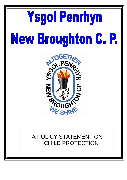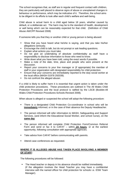The school recognises that, as staff are in regular and frequent contact with children, they are particularly well placed to observe signs of abuse or unexplained changes in behaviour or performance, which may be indicative of it. Therefore, the school aims to be diligent in its efforts to look after each child"s welfare and well-being.

Child abuse is actual harm to a child aged below 18 years, whether caused by default, or a deliberate act. The harm may be to the standard of health, development or well being which can be reasonably expected for that child. (Definition of Child Abuse AWCPP Revised 2008)

If someone tells you that they or another child or young person is being abused:

- Show that you have heard what he/she is saying, and that you take his/her allegations seriously.
- **Encourage the child to talk, but do not prompt or ask leading questions.**
- **Explain what actions you must take.**
- Do not give an undertaking of absolute confidentiality as staff have a responsibility to disclose information to those who need to know.
- Write down what you have been told, using the exact words if possible.
- Make a note of the date, time, place and people who were present at the discussion.
- Report your concerns to your line manager or (if appropriate) the member of staff in your organization with designated responsibility for child protection.
- Ensure that your concerns are immediately reported to the duty social worker at the local office (MASH 01978 292039).
- Do not confront the alleged abuser.

If a child is likely to suffer harm it is essential that urgent action is taken under the child protection procedures. These procedures are outlined in The All Wales Child Protection Procedures and the local protocol is ratified by the LSCB (Booklet-All Wales Child Protection Procedures-Schools-Revised 2008).

When abuse is alleged or suspected the school will adopt the following procedure:

- There is a designated Child Protection Co-coordinator in school who will be **immediately** informed, or in the case of their absence the Deputy Headteacher.
- The person informed will refer information to MASH, Safeguarding and Support Services, (and inform the Educational Social Worker, and school nurse), on the **same day**
- The person informed will complete Child Protection Form/Common Referral Form and send or fax it to CAFAT – within **24 hours**, or at the earliest opportunity, following consultation with appropriate agencies.
- **Take advice from CAFAT before communicating with parents.**
- Attend case conferences as requested.

### **WHERE IT IS ALLEGED ABUSE HAS TAKEN PLACE INVOLVING A MEMBER OF STAFF:**

The following procedures will be followed:

 The Head teacher or deputy in his absence should be notified immediately. (If the allegation involves the Head Teacher you may have a confidential interview with the named officer for child protection for schools i.e. ESW Team Manager).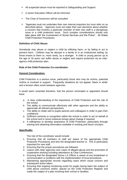- All suspected abuse must be reported to Safeguarding and Support.
- A senior Education Officer will be informed.
- The Chair of Governors will be consulted
- "Agencies must not undertake their own internal enquiries but must refer on as described above. Agencies must not make their own decisions about whether a concern that involves a particular member of their own staff is a disciplinary issue or a child protection issue. Such complex considerations should only take place with the involvement of Social Services and the Police". All Wales Child Protection Procedures.

### **Definition of Child Abuse:**

Somebody may abuse or neglect a child by inflicting harm, or by failing to act to prevent harm. Children may be abused in a family or in an institutional setting, by those known to them or, more rarely, by a stranger. A child or young person up to the age of 18 years can suffer abuse or neglect and require protection via an interagency child protection plan.

#### **Role of the Child Protection Co-coordinator:**

#### **General Consideration:**

Child Protection is a serious issue, particularly those who may be victims, potential victims or involved in support. Frequently situations do not appear "black or white" and a tension often exists between agencies.

It would seem essential therefore, that the person nominated or appointed should have:

- a. A clear understanding of the importance of Child Protection and the role of the school.
- b. The ability to communicate effectively with other agencies and the ability to appreciate all relevant perspectives.
- c. The ability to relate well to pupils parents and colleagues in order to gain their confidence.
- d. Sufficient seniority or recognition within the school in order to act on behalf of the school and in some instances brings about change if required.
- e. A willingness to develop awareness of Child Protection, particularly through training and obtaining information available in existing and future circulars.

### **Specifically:**

The role of the coordinator would include:

- 1. Ensuring that all members of staff are aware of the appropriate Child Protection Procedures and who the designated teacher is. This is particularly important for new staff.
- 2. Ensuring that the proper procedures are followed.
- 3. Liaison with other agencies over cases of alleged abuse and the promotion of cooperative working including attendance at Case Conferences.
- 4. Ensuring that the designated Senior LA Officer is aware of any breakdown in communication or problems with the implementation of local procedures.
- 5. Maintaining appropriate records regarding cases which cause concern and subsequent action taken.
- 6. Ensuring that ongoing monitoring exists for pupils having been the subject of child abuse concerns and/or, placed on the Child Protection Register and made the subject of a plan involving their school or facilities.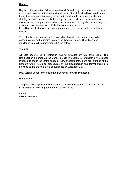### **Neglect**

Neglect is the persistent failure to meet a child"s basic physical and/or psychological needs, likely to result in the serious impairment of the child"s health or development. It may involve a parent or caregiver failing to provide adequate food, shelter and clothing, failing to protect a child from physical harm or danger, or the failure to ensure access to appropriate medical care or treatment. It may also include neglect of, or unresponsiveness to, a child"s basic emotional needs.

In addition, neglect may occur during pregnancy as a result of maternal substance misuse.

The school is always aware of the possibility of a child suffering neglect. When concerns are raised regarding neglect, the "Neglect Practice Guidelines" and monitoring form will be implemented. (See below).

### **Training**

All Staff receive Child Protection training provided by Mr. John Grant. The Headteacher is named as the School"s Child Protection Co-ordinator in the School Prospectus and in the Staff Handbook. New and temporary staffs are informed of the School"s Child Protection procedures by the Headteacher and formal training is provided during the next cycle of events led by Wrexham CBC.

Mrs. Sarah Hughes is the designated Governor for Child Protection.

### **Declaration**

This policy was approved by the School's Governing Body on 10<sup>th</sup> October, 2016 It will be reviewed during the Autumn Term of 2017.

Signed **Chair of Governors**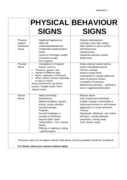|              | <b>PHYSICAL BEHAVIOUR</b> |
|--------------|---------------------------|
| <b>SIGNS</b> | <b>SIGNS</b>              |

| Physical<br>neglect/<br>Emotional<br>Abuse | Neglected appearance.<br>Often left<br>unattended/abandoned.<br>Unattended health/medical<br>needs.<br>Failure to thrive/gain weight.<br>Consistent hunger.<br>Poor hygiene.                                                                                                                                      | Delayed development.<br>Lethargic, tired, falls asleep.<br>Often absent or late to school.<br>Self-destructive.<br>Hopelessness.<br>Desperate attention seeker.<br>Steals food.                                                                                                                         |
|--------------------------------------------|-------------------------------------------------------------------------------------------------------------------------------------------------------------------------------------------------------------------------------------------------------------------------------------------------------------------|---------------------------------------------------------------------------------------------------------------------------------------------------------------------------------------------------------------------------------------------------------------------------------------------------------|
| Physical<br>Abuse                          | Unexplained or frequent<br>trauma, such as<br>Fractures, grazes, cuts<br>٠<br>Injuries of different ages<br>$\blacksquare$<br>Burns, cigarette or immersion<br>٠<br>Minor injuries, bruises especially<br>٠<br>to eyes or mouth<br>Heavy punishment, eg severe<br>bruises, multiple weals, hand-<br>shaped marks. | Delay seeking medical advice.<br>Hyper-critical/rigid parents.<br>Chronic runaway.<br>Afraid of going home.<br>Unexplained or regular absences.<br>Wary of physical contact.<br>Complains of soreness.<br>Behavioural extremes - withdrawn,<br>wary or aggressive/disruptive.                           |
| Sexual<br>Abuse                            | Sleep and eating<br>disturbances.<br>Medical problems, eg pain,<br>itching, urinary infection,<br>venereal disease.<br>Pregnant.<br>Sexual knowledge or<br>curiosity or behaviour<br>beyond child's years.<br>Underclothes - torn, stained,<br>bloody.<br>Difficulty in walking or sitting<br>- genital injuries  | Reports abuse.<br>Fear of particular individuals.<br>Sudden change in personality or<br>school performance or self-esteem.<br>Aggression or unruly behaviour.<br>Truancy.<br>Depressed, withdrawn, sad, listless,<br>self-injury, suicide attempts,<br>overdoses, running away.<br>Guilt, shame, anger. |
|                                            |                                                                                                                                                                                                                                                                                                                   | The above signs do not always indicate child abuse, but the possibility should be considered.                                                                                                                                                                                                           |

*If in doubt, share your concern without delay.*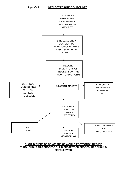

### **SHOULD THERE BE CONCERNS OF A CHILD PROTECTION NATURE THROUGHOUT THIS PROCESS CHILD PROTECTION PROCEDURES SHOULD BE FOLLOWED.**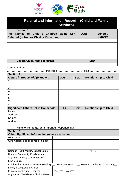

| Referral and Information Record - (Child and Family<br><b>Services)</b> |                                      |  |                |  |  |  |  |  |  |
|-------------------------------------------------------------------------|--------------------------------------|--|----------------|--|--|--|--|--|--|
| <b>Section 1</b>                                                        |                                      |  |                |  |  |  |  |  |  |
| Names of Child / Children<br><b>Full</b><br><b>Being</b>                | <b>Sex</b><br>School /<br><b>DOB</b> |  |                |  |  |  |  |  |  |
| <b>Referred (or Names Child is Known As)</b>                            |                                      |  | <b>Nursery</b> |  |  |  |  |  |  |
|                                                                         |                                      |  |                |  |  |  |  |  |  |
|                                                                         |                                      |  |                |  |  |  |  |  |  |
|                                                                         |                                      |  |                |  |  |  |  |  |  |
|                                                                         |                                      |  |                |  |  |  |  |  |  |
|                                                                         |                                      |  |                |  |  |  |  |  |  |
|                                                                         |                                      |  |                |  |  |  |  |  |  |
| <b>Unborn Child / Name of Mother</b>                                    | <b>EDD</b>                           |  |                |  |  |  |  |  |  |
|                                                                         |                                      |  |                |  |  |  |  |  |  |

Current Address:………………………………………………………………………………………………

……………………………………….Postcode:………………………..Tel No:…………………………… **Section 2**

| <b>Section Z</b>                           |            |            |                              |  |  |  |  |
|--------------------------------------------|------------|------------|------------------------------|--|--|--|--|
| <b>Others in Household (if known)</b>      | <b>DOB</b> | <b>Sex</b> | <b>Relationship to Child</b> |  |  |  |  |
|                                            |            |            |                              |  |  |  |  |
| $\overline{2}$                             |            |            |                              |  |  |  |  |
| 3                                          |            |            |                              |  |  |  |  |
| 4                                          |            |            |                              |  |  |  |  |
| 5                                          |            |            |                              |  |  |  |  |
| 6                                          |            |            |                              |  |  |  |  |
| 7                                          |            |            |                              |  |  |  |  |
| 8                                          |            |            |                              |  |  |  |  |
| <b>Significant Others not in Household</b> | <b>DOB</b> | <b>Sex</b> | <b>Relationship to Child</b> |  |  |  |  |
| Name:                                      |            |            |                              |  |  |  |  |
| Address:                                   |            |            |                              |  |  |  |  |
| Name:                                      |            |            |                              |  |  |  |  |
| Address:                                   |            |            |                              |  |  |  |  |

┑

| Name of Person(s) with Parental Responsibility         |       |                       |  |        |                                    |
|--------------------------------------------------------|-------|-----------------------|--|--------|------------------------------------|
| <b>Section 3</b>                                       |       |                       |  |        |                                    |
| <b>Other Significant Information (where available)</b> |       |                       |  |        |                                    |
| GP's Name                                              |       |                       |  |        |                                    |
| GP's Address and Telephone Number                      |       |                       |  |        |                                    |
|                                                        |       |                       |  |        |                                    |
|                                                        |       |                       |  |        |                                    |
| Name of Health Visitor / School Nurse                  |       |                       |  | Tel No |                                    |
| Name of Community Paediatrician                        |       |                       |  |        |                                    |
| Any Other Agency (please specify)                      |       |                       |  |        |                                    |
| <b>Ethnic Origin</b>                                   |       |                       |  |        |                                    |
| Immigration Status - Asylum Seeking                    |       | Refugee Status $\Box$ |  |        | Exceptional leave to remain $\Box$ |
| Family's Language of Choice                            |       |                       |  |        |                                    |
| Is Interpreter / Signer Required                       | Yes i | No.                   |  |        |                                    |
| Any Known Disabilities - Child or Parent               |       |                       |  |        |                                    |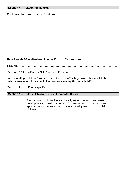| Section 4 - Reason for Referral                                                                                                                           |  |  |  |  |
|-----------------------------------------------------------------------------------------------------------------------------------------------------------|--|--|--|--|
| Child Protection $\Box$ Child in Need $\Box$                                                                                                              |  |  |  |  |
|                                                                                                                                                           |  |  |  |  |
|                                                                                                                                                           |  |  |  |  |
|                                                                                                                                                           |  |  |  |  |
|                                                                                                                                                           |  |  |  |  |
|                                                                                                                                                           |  |  |  |  |
|                                                                                                                                                           |  |  |  |  |
| Have Parents / Guardian been Informed? Yes $\Box$ No $\Box$                                                                                               |  |  |  |  |
|                                                                                                                                                           |  |  |  |  |
| See para 3.3.2 of All Wales Child Protection Procedures                                                                                                   |  |  |  |  |
| In responding to this referral are there known staff safety issues that need to be<br>taken into account for example lone workers visiting the household? |  |  |  |  |
|                                                                                                                                                           |  |  |  |  |
| Section 5 - Child's / Children's Developmental Needs                                                                                                      |  |  |  |  |

The purpose of this section is to identify areas of strength and areas of developmental need, in order for resources to be allocated appropriately to ensure the optimum development of this child / children

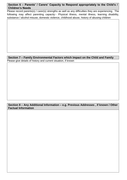# **Section 6 – Parents' / Carers' Capacity to Respond appropriately to the Child's / Children's Needs**

Please record parents(s) / carer(s) strengths as well as any difficulties they are experiencing. The following may affect parenting capacity:- Physical illness, mental illness, learning disability, substance / alcohol misuse, domestic violence, childhood abuse, history of abusing children

## **Section 7 – Family Environmental Factors which Impact on the Child and Family** Please give details of history and current situation, if known

# **Section 8 – Any Additional Information – e.g. Previous Addresses , if known / Other Factual Information**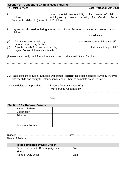# **Section 9 – Consent to Child in Need Referral**

To Social Services **Data Protection Act 1998**

- 9.2 I agree to **information being shared** with Social Services in relation to (name of child / children)………………………………………………………………………………………………… ……………………………………………………………………………… as follows:-
- (a) All of the records held by ………………………………. that relate to my child / myself / other children in my family \* (b) Specific details from records held by ………………………………. that relate to my child / myself / other children in my family \*

(Please state clearly the information you consent to share with Social Services)

…………………………………………………………………………………………………………………..

 $\mathcal{L}^{\text{max}}_{\text{max}}$ 

9.3 I also consent to Social Services Department **contacting** other agencies currently involved with my child and family for information to enable them to complete an assessment.

| * Please delete as appropriate | (with parental responsibility) |
|--------------------------------|--------------------------------|
|                                |                                |

| <b>Section 10 - Referrer Details</b> |  |
|--------------------------------------|--|
| Name of Referrer                     |  |
| Designation                          |  |
| Address                              |  |
|                                      |  |
|                                      |  |
| <b>Telephone Number</b>              |  |

| Name of Referrer |  |
|------------------|--|

| To be completed by Duty Officer      |       |  |
|--------------------------------------|-------|--|
| Return form sent to Referring Agency | Date: |  |
| Signed                               |       |  |
| Name of Duty Officer                 | Date: |  |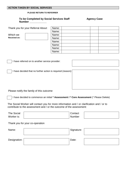# **ACTION TAKEN BY SOCIAL SERVICES**

#### **PLEASE RETURN TO REFERRER**

### **To be Completed by Social Services Staff Mate 4 Agency Case Number \_\_\_\_\_\_\_\_\_\_\_\_**

|                                    |                                                                                                                                                                    | Name: |            |  |
|------------------------------------|--------------------------------------------------------------------------------------------------------------------------------------------------------------------|-------|------------|--|
| Thank you for your Referral About: |                                                                                                                                                                    | Name: |            |  |
|                                    |                                                                                                                                                                    | Name: |            |  |
| Which we<br><b>Received on:</b>    |                                                                                                                                                                    |       |            |  |
|                                    |                                                                                                                                                                    | Name: |            |  |
|                                    |                                                                                                                                                                    | Name: |            |  |
|                                    |                                                                                                                                                                    | Name: |            |  |
|                                    |                                                                                                                                                                    | Name: |            |  |
|                                    |                                                                                                                                                                    | Name: |            |  |
|                                    |                                                                                                                                                                    |       |            |  |
|                                    |                                                                                                                                                                    |       |            |  |
|                                    | I have referred on to another service provider:                                                                                                                    |       |            |  |
|                                    |                                                                                                                                                                    |       |            |  |
|                                    | I have decided that no further action is required (reason):                                                                                                        |       |            |  |
|                                    |                                                                                                                                                                    |       |            |  |
|                                    |                                                                                                                                                                    |       |            |  |
|                                    |                                                                                                                                                                    |       |            |  |
|                                    |                                                                                                                                                                    |       |            |  |
|                                    |                                                                                                                                                                    |       |            |  |
|                                    |                                                                                                                                                                    |       |            |  |
|                                    | Please notify the family of this outcome                                                                                                                           |       |            |  |
|                                    |                                                                                                                                                                    |       |            |  |
|                                    | I have decided to commence an initial * Assessment / * Core Assessment (* Please Delete)                                                                           |       |            |  |
|                                    |                                                                                                                                                                    |       |            |  |
|                                    | The Social Worker will contact you for more information and / or clarification and / or to<br>contribute to the assessment and / or the outcome of the assessment: |       |            |  |
|                                    |                                                                                                                                                                    |       |            |  |
| <b>The Social</b>                  |                                                                                                                                                                    |       | Contact    |  |
| Worker is:                         |                                                                                                                                                                    |       | Number     |  |
|                                    |                                                                                                                                                                    |       |            |  |
|                                    | Thank you for your co-operation                                                                                                                                    |       |            |  |
|                                    |                                                                                                                                                                    |       |            |  |
| Name:                              |                                                                                                                                                                    |       | Signature: |  |
|                                    |                                                                                                                                                                    |       |            |  |
|                                    |                                                                                                                                                                    |       |            |  |
|                                    |                                                                                                                                                                    |       | Date:      |  |
| Designation:                       |                                                                                                                                                                    |       |            |  |
|                                    |                                                                                                                                                                    |       |            |  |